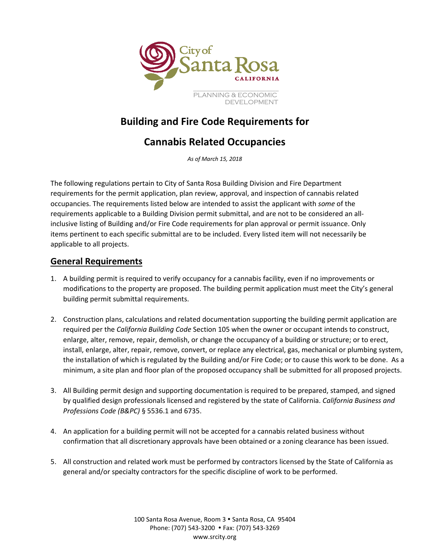

# **Building and Fire Code Requirements for**

# **Cannabis Related Occupancies**

*As of March 15, 2018*

The following regulations pertain to City of Santa Rosa Building Division and Fire Department requirements for the permit application, plan review, approval, and inspection of cannabis related occupancies. The requirements listed below are intended to assist the applicant with *some* of the requirements applicable to a Building Division permit submittal, and are not to be considered an allinclusive listing of Building and/or Fire Code requirements for plan approval or permit issuance. Only items pertinent to each specific submittal are to be included. Every listed item will not necessarily be applicable to all projects.

### **General Requirements**

- 1. A building permit is required to verify occupancy for a cannabis facility, even if no improvements or modifications to the property are proposed. The building permit application must meet the City's general building permit submittal requirements.
- 2. Construction plans, calculations and related documentation supporting the building permit application are required per the *California Building Code* Section 105 when the owner or occupant intends to construct, enlarge, alter, remove, repair, demolish, or change the occupancy of a building or structure; or to erect, install, enlarge, alter, repair, remove, convert, or replace any electrical, gas, mechanical or plumbing system, the installation of which is regulated by the Building and/or Fire Code; or to cause this work to be done. As a minimum, a site plan and floor plan of the proposed occupancy shall be submitted for all proposed projects.
- 3. All Building permit design and supporting documentation is required to be prepared, stamped, and signed by qualified design professionals licensed and registered by the state of California. *California Business and Professions Code (B&PC)* § 5536.1 and 6735.
- 4. An application for a building permit will not be accepted for a cannabis related business without confirmation that all discretionary approvals have been obtained or a zoning clearance has been issued.
- 5. All construction and related work must be performed by contractors licensed by the State of California as general and/or specialty contractors for the specific discipline of work to be performed.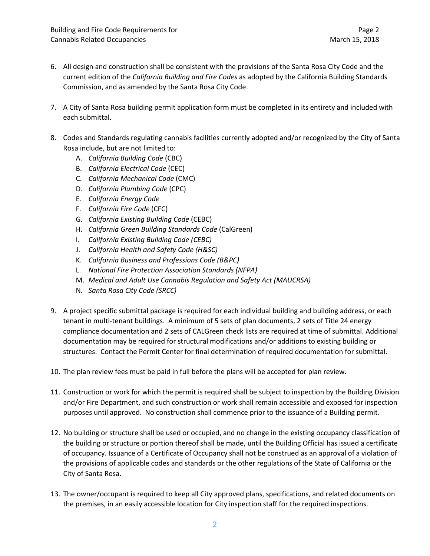- 6. All design and construction shall be consistent with the provisions of the Santa Rosa City Code and the current edition of the *California Building and Fire Codes* as adopted by the California Building Standards Commission, and as amended by the Santa Rosa City Code.
- 7. A City of Santa Rosa building permit application form must be completed in its entirety and included with each submittal.
- 8. Codes and Standards regulating cannabis facilities currently adopted and/or recognized by the City of Santa Rosa include, but are not limited to:
	- A. *California Building Code* (CBC)
	- B. *California Electrical Code* (CEC)
	- C. *California Mechanical Code* (CMC)
	- D. *California Plumbing Code* (CPC)
	- E. *California Energy Code*
	- F. *California Fire Code* (CFC)
	- G. *California Existing Building Code* (CEBC)
	- H. *California Green Building Standards Code* (CalGreen)
	- I. *California Existing Building Code (CEBC)*
	- J. *California Health and Safety Code (H&SC)*
	- K. *California Business and Professions Code (B&PC)*
	- L. *National Fire Protection Association Standards (NFPA)*
	- M. *Medical and Adult Use Cannabis Regulation and Safety Act (MAUCRSA)*
	- N. *Santa Rosa City Code (SRCC)*
- 9. A project specific submittal package is required for each individual building and building address, or each tenant in multi-tenant buildings. A minimum of 5 sets of plan documents, 2 sets of Title 24 energy compliance documentation and 2 sets of CALGreen check lists are required at time of submittal. Additional documentation may be required for structural modifications and/or additions to existing building or structures. Contact the Permit Center for final determination of required documentation for submittal.
- 10. The plan review fees must be paid in full before the plans will be accepted for plan review.
- 11. Construction or work for which the permit is required shall be subject to inspection by the Building Division and/or Fire Department, and such construction or work shall remain accessible and exposed for inspection purposes until approved. No construction shall commence prior to the issuance of a Building permit.
- 12. No building or structure shall be used or occupied, and no change in the existing occupancy classification of the building or structure or portion thereof shall be made, until the Building Official has issued a certificate of occupancy. Issuance of a Certificate of Occupancy shall not be construed as an approval of a violation of the provisions of applicable codes and standards or the other regulations of the State of California or the City of Santa Rosa.
- 13. The owner/occupant is required to keep all City approved plans, specifications, and related documents on the premises, in an easily accessible location for City inspection staff for the required inspections.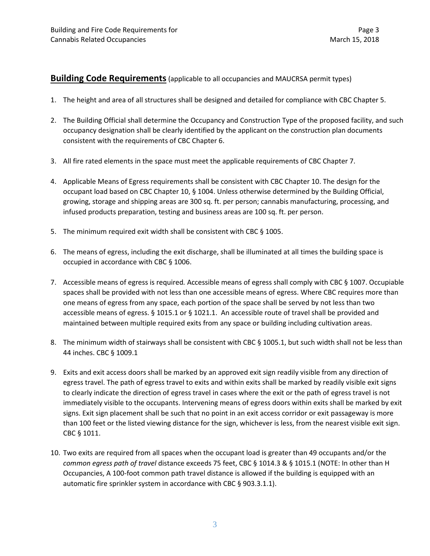#### **Building Code Requirements**(applicable to all occupancies and MAUCRSA permit types)

- 1. The height and area of all structures shall be designed and detailed for compliance with CBC Chapter 5.
- 2. The Building Official shall determine the Occupancy and Construction Type of the proposed facility, and such occupancy designation shall be clearly identified by the applicant on the construction plan documents consistent with the requirements of CBC Chapter 6.
- 3. All fire rated elements in the space must meet the applicable requirements of CBC Chapter 7.
- 4. Applicable Means of Egress requirements shall be consistent with CBC Chapter 10. The design for the occupant load based on CBC Chapter 10, § 1004. Unless otherwise determined by the Building Official, growing, storage and shipping areas are 300 sq. ft. per person; cannabis manufacturing, processing, and infused products preparation, testing and business areas are 100 sq. ft. per person.
- 5. The minimum required exit width shall be consistent with CBC § 1005.
- 6. The means of egress, including the exit discharge, shall be illuminated at all times the building space is occupied in accordance with CBC § 1006.
- 7. Accessible means of egress is required*.* Accessible means of egress shall comply with CBC § 1007. Occupiable spaces shall be provided with not less than one accessible means of egress. Where CBC requires more than one means of egress from any space, each portion of the space shall be served by not less than two accessible means of egress. § 1015.1 or § 1021.1. An accessible route of travel shall be provided and maintained between multiple required exits from any space or building including cultivation areas.
- 8. The minimum width of stairways shall be consistent with CBC § 1005.1, but such width shall not be less than 44 inches. CBC § 1009.1
- 9. Exits and exit access doors shall be marked by an approved exit sign readily visible from any direction of egress travel. The path of egress travel to exits and within exits shall be marked by readily visible exit signs to clearly indicate the direction of egress travel in cases where the exit or the path of egress travel is not immediately visible to the occupants. Intervening means of egress doors within exits shall be marked by exit signs. Exit sign placement shall be such that no point in an exit access corridor or exit passageway is more than 100 feet or the listed viewing distance for the sign, whichever is less, from the nearest visible exit sign. CBC § 1011.
- 10. Two exits are required from all spaces when the occupant load is greater than 49 occupants and/or the *common egress path of travel* distance exceeds 75 feet, CBC § 1014.3 & § 1015.1 (NOTE: In other than H Occupancies, A 100-foot common path travel distance is allowed if the building is equipped with an automatic fire sprinkler system in accordance with CBC § 903.3.1.1).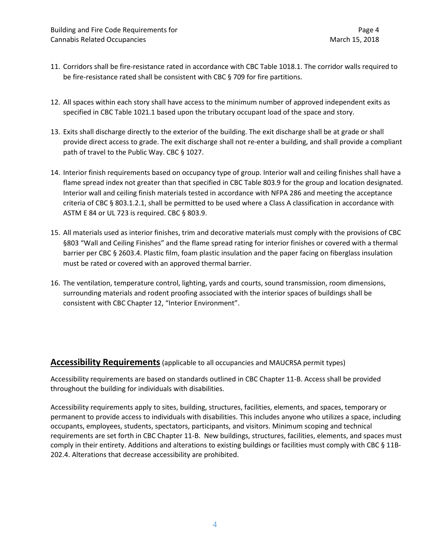- 11. Corridors shall be fire-resistance rated in accordance with CBC Table 1018.1. The corridor walls required to be fire-resistance rated shall be consistent with CBC § 709 for fire partitions.
- 12. All spaces within each story shall have access to the minimum number of approved independent exits as specified in CBC Table 1021.1 based upon the tributary occupant load of the space and story.
- 13. Exits shall discharge directly to the exterior of the building. The exit discharge shall be at grade or shall provide direct access to grade. The exit discharge shall not re-enter a building, and shall provide a compliant path of travel to the Public Way. CBC § 1027.
- 14. Interior finish requirements based on occupancy type of group. Interior wall and ceiling finishes shall have a flame spread index not greater than that specified in CBC Table 803.9 for the group and location designated. Interior wall and ceiling finish materials tested in accordance with NFPA 286 and meeting the acceptance criteria of CBC § 803.1.2.1, shall be permitted to be used where a Class A classification in accordance with ASTM E 84 or UL 723 is required. CBC § 803.9.
- 15. All materials used as interior finishes, trim and decorative materials must comply with the provisions of CBC §803 "Wall and Ceiling Finishes" and the flame spread rating for interior finishes or covered with a thermal barrier per CBC § 2603.4. Plastic film, foam plastic insulation and the paper facing on fiberglass insulation must be rated or covered with an approved thermal barrier.
- 16. The ventilation, temperature control, lighting, yards and courts, sound transmission, room dimensions, surrounding materials and rodent proofing associated with the interior spaces of buildings shall be consistent with CBC Chapter 12, "Interior Environment".

#### **Accessibility Requirements**(applicable to all occupancies and MAUCRSA permit types)

Accessibility requirements are based on standards outlined in CBC Chapter 11-B. Access shall be provided throughout the building for individuals with disabilities.

Accessibility requirements apply to sites, building, structures, facilities, elements, and spaces, temporary or permanent to provide access to individuals with disabilities. This includes anyone who utilizes a space, including occupants, employees, students, spectators, participants, and visitors. Minimum scoping and technical requirements are set forth in CBC Chapter 11-B. New buildings, structures, facilities, elements, and spaces must comply in their entirety. Additions and alterations to existing buildings or facilities must comply with CBC § 11B-202.4. Alterations that decrease accessibility are prohibited.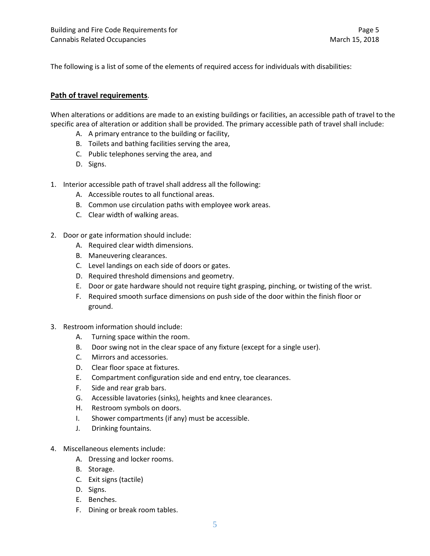The following is a list of some of the elements of required access for individuals with disabilities:

#### **Path of travel requirements**.

When alterations or additions are made to an existing buildings or facilities, an accessible path of travel to the specific area of alteration or addition shall be provided. The primary accessible path of travel shall include:

- A. A primary entrance to the building or facility,
- B. Toilets and bathing facilities serving the area,
- C. Public telephones serving the area, and
- D. Signs.
- 1. Interior accessible path of travel shall address all the following:
	- A. Accessible routes to all functional areas.
	- B. Common use circulation paths with employee work areas.
	- C. Clear width of walking areas.
- 2. Door or gate information should include:
	- A. Required clear width dimensions.
	- B. Maneuvering clearances.
	- C. Level landings on each side of doors or gates.
	- D. Required threshold dimensions and geometry.
	- E. Door or gate hardware should not require tight grasping, pinching, or twisting of the wrist.
	- F. Required smooth surface dimensions on push side of the door within the finish floor or ground.
- 3. Restroom information should include:
	- A. Turning space within the room.
	- B. Door swing not in the clear space of any fixture (except for a single user).
	- C. Mirrors and accessories.
	- D. Clear floor space at fixtures.
	- E. Compartment configuration side and end entry, toe clearances.
	- F. Side and rear grab bars.
	- G. Accessible lavatories (sinks), heights and knee clearances.
	- H. Restroom symbols on doors.
	- I. Shower compartments (if any) must be accessible.
	- J. Drinking fountains.
- 4. Miscellaneous elements include:
	- A. Dressing and locker rooms.
	- B. Storage.
	- C. Exit signs (tactile)
	- D. Signs.
	- E. Benches.
	- F. Dining or break room tables.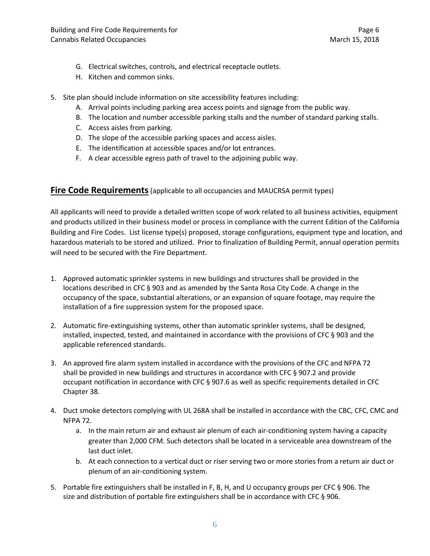- G. Electrical switches, controls, and electrical receptacle outlets.
- H. Kitchen and common sinks.
- 5. Site plan should include information on site accessibility features including:
	- A. Arrival points including parking area access points and signage from the public way.
	- B. The location and number accessible parking stalls and the number of standard parking stalls.
	- C. Access aisles from parking.
	- D. The slope of the accessible parking spaces and access aisles.
	- E. The identification at accessible spaces and/or lot entrances.
	- F. A clear accessible egress path of travel to the adjoining public way.

#### **Fire Code Requirements** (applicable to all occupancies and MAUCRSA permit types)

All applicants will need to provide a detailed written scope of work related to all business activities, equipment and products utilized in their business model or process in compliance with the current Edition of the California Building and Fire Codes. List license type(s) proposed, storage configurations, equipment type and location, and hazardous materials to be stored and utilized. Prior to finalization of Building Permit, annual operation permits will need to be secured with the Fire Department.

- 1. Approved automatic sprinkler systems in new buildings and structures shall be provided in the locations described in CFC § 903 and as amended by the Santa Rosa City Code. A change in the occupancy of the space, substantial alterations, or an expansion of square footage, may require the installation of a fire suppression system for the proposed space.
- 2. Automatic fire-extinguishing systems, other than automatic sprinkler systems, shall be designed, installed, inspected, tested, and maintained in accordance with the provisions of CFC § 903 and the applicable referenced standards.
- 3. An approved fire alarm system installed in accordance with the provisions of the CFC and NFPA 72 shall be provided in new buildings and structures in accordance with CFC § 907.2 and provide occupant notification in accordance with CFC § 907.6 as well as specific requirements detailed in CFC Chapter 38.
- 4. Duct smoke detectors complying with UL 268A shall be installed in accordance with the CBC, CFC, CMC and NFPA 72.
	- a. In the main return air and exhaust air plenum of each air-conditioning system having a capacity greater than 2,000 CFM. Such detectors shall be located in a serviceable area downstream of the last duct inlet.
	- b. At each connection to a vertical duct or riser serving two or more stories from a return air duct or plenum of an air-conditioning system.
- 5. Portable fire extinguishers shall be installed in F, B, H, and U occupancy groups per CFC § 906. The size and distribution of portable fire extinguishers shall be in accordance with CFC § 906.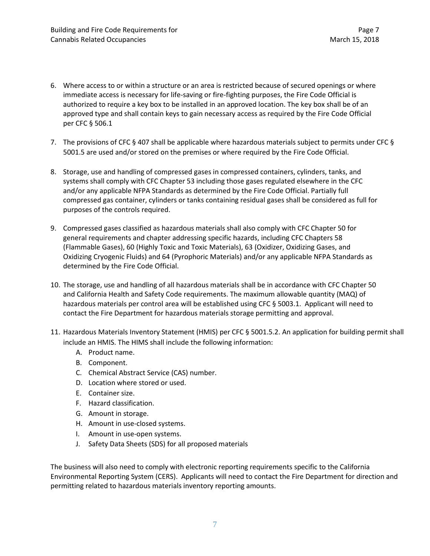- 6. Where access to or within a structure or an area is restricted because of secured openings or where immediate access is necessary for life-saving or fire-fighting purposes, the Fire Code Official is authorized to require a key box to be installed in an approved location. The key box shall be of an approved type and shall contain keys to gain necessary access as required by the Fire Code Official per CFC § 506.1
- 7. The provisions of CFC § 407 shall be applicable where hazardous materials subject to permits under CFC § 5001.5 are used and/or stored on the premises or where required by the Fire Code Official.
- 8. Storage, use and handling of compressed gases in compressed containers, cylinders, tanks, and systems shall comply with CFC Chapter 53 including those gases regulated elsewhere in the CFC and/or any applicable NFPA Standards as determined by the Fire Code Official. Partially full compressed gas container, cylinders or tanks containing residual gases shall be considered as full for purposes of the controls required.
- 9. Compressed gases classified as hazardous materials shall also comply with CFC Chapter 50 for general requirements and chapter addressing specific hazards, including CFC Chapters 58 (Flammable Gases), 60 (Highly Toxic and Toxic Materials), 63 (Oxidizer, Oxidizing Gases, and Oxidizing Cryogenic Fluids) and 64 (Pyrophoric Materials) and/or any applicable NFPA Standards as determined by the Fire Code Official.
- 10. The storage, use and handling of all hazardous materials shall be in accordance with CFC Chapter 50 and California Health and Safety Code requirements. The maximum allowable quantity (MAQ) of hazardous materials per control area will be established using CFC § 5003.1. Applicant will need to contact the Fire Department for hazardous materials storage permitting and approval.
- 11. Hazardous Materials Inventory Statement (HMIS) per CFC § 5001.5.2. An application for building permit shall include an HMIS. The HIMS shall include the following information:
	- A. Product name.
	- B. Component.
	- C. Chemical Abstract Service (CAS) number.
	- D. Location where stored or used.
	- E. Container size.
	- F. Hazard classification.
	- G. Amount in storage.
	- H. Amount in use-closed systems.
	- I. Amount in use-open systems.
	- J. Safety Data Sheets (SDS) for all proposed materials

The business will also need to comply with electronic reporting requirements specific to the California Environmental Reporting System (CERS). Applicants will need to contact the Fire Department for direction and permitting related to hazardous materials inventory reporting amounts.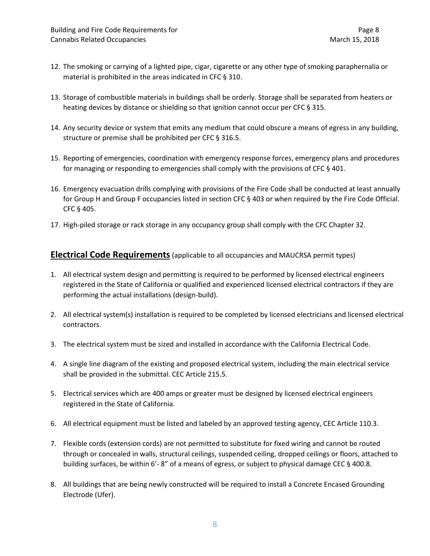- 12. The smoking or carrying of a lighted pipe, cigar, cigarette or any other type of smoking paraphernalia or material is prohibited in the areas indicated in CFC § 310.
- 13. Storage of combustible materials in buildings shall be orderly. Storage shall be separated from heaters or heating devices by distance or shielding so that ignition cannot occur per CFC § 315.
- 14. Any security device or system that emits any medium that could obscure a means of egress in any building, structure or premise shall be prohibited per CFC § 316.5.
- 15. Reporting of emergencies, coordination with emergency response forces, emergency plans and procedures for managing or responding to emergencies shall comply with the provisions of CFC § 401.
- 16. Emergency evacuation drills complying with provisions of the Fire Code shall be conducted at least annually for Group H and Group F occupancies listed in section CFC § 403 or when required by the Fire Code Official. CFC § 405.
- 17. High-piled storage or rack storage in any occupancy group shall comply with the CFC Chapter 32.

### **Electrical Code Requirements**(applicable to all occupancies and MAUCRSA permit types)

- 1. All electrical system design and permitting is required to be performed by licensed electrical engineers registered in the State of California or qualified and experienced licensed electrical contractors if they are performing the actual installations (design-build).
- 2. All electrical system(s) installation is required to be completed by licensed electricians and licensed electrical contractors.
- 3. The electrical system must be sized and installed in accordance with the California Electrical Code.
- 4. A single line diagram of the existing and proposed electrical system, including the main electrical service shall be provided in the submittal. CEC Article 215.5.
- 5. Electrical services which are 400 amps or greater must be designed by licensed electrical engineers registered in the State of California.
- 6. All electrical equipment must be listed and labeled by an approved testing agency, CEC Article 110.3.
- 7. Flexible cords (extension cords) are not permitted to substitute for fixed wiring and cannot be routed through or concealed in walls, structural ceilings, suspended ceiling, dropped ceilings or floors, attached to building surfaces, be within 6'-8" of a means of egress, or subject to physical damage CEC § 400.8.
- 8. All buildings that are being newly constructed will be required to install a Concrete Encased Grounding Electrode (Ufer).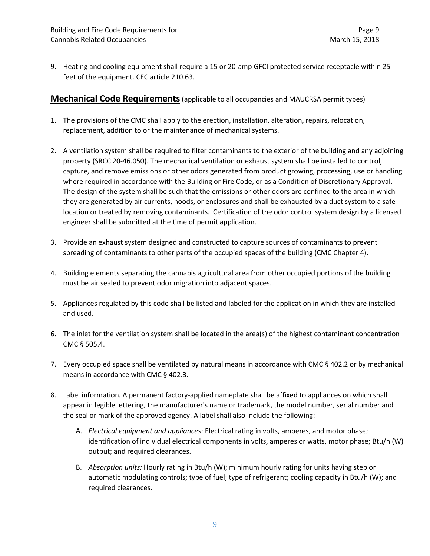9. Heating and cooling equipment shall require a 15 or 20-amp GFCI protected service receptacle within 25 feet of the equipment. CEC article 210.63.

#### **Mechanical Code Requirements**(applicable to all occupancies and MAUCRSA permit types)

- 1. The provisions of the CMC shall apply to the erection, installation, alteration, repairs, relocation, replacement, addition to or the maintenance of mechanical systems.
- 2. A ventilation system shall be required to filter contaminants to the exterior of the building and any adjoining property (SRCC 20-46.050). The mechanical ventilation or exhaust system shall be installed to control, capture, and remove emissions or other odors generated from product growing, processing, use or handling where required in accordance with the Building or Fire Code, or as a Condition of Discretionary Approval. The design of the system shall be such that the emissions or other odors are confined to the area in which they are generated by air currents, hoods, or enclosures and shall be exhausted by a duct system to a safe location or treated by removing contaminants. Certification of the odor control system design by a licensed engineer shall be submitted at the time of permit application.
- 3. Provide an exhaust system designed and constructed to capture sources of contaminants to prevent spreading of contaminants to other parts of the occupied spaces of the building (CMC Chapter 4).
- 4. Building elements separating the cannabis agricultural area from other occupied portions of the building must be air sealed to prevent odor migration into adjacent spaces.
- 5. Appliances regulated by this code shall be listed and labeled for the application in which they are installed and used.
- 6. The inlet for the ventilation system shall be located in the area(s) of the highest contaminant concentration CMC § 505.4.
- 7. Every occupied space shall be ventilated by natural means in accordance with CMC § 402.2 or by mechanical means in accordance with CMC § 402.3.
- 8. Label information*.* A permanent factory-applied nameplate shall be affixed to appliances on which shall appear in legible lettering, the manufacturer's name or trademark, the model number, serial number and the seal or mark of the approved agency. A label shall also include the following:
	- A. *Electrical equipment and appliances*: Electrical rating in volts, amperes, and motor phase; identification of individual electrical components in volts, amperes or watts, motor phase; Btu/h (W) output; and required clearances.
	- B. *Absorption units:* Hourly rating in Btu/h (W); minimum hourly rating for units having step or automatic modulating controls; type of fuel; type of refrigerant; cooling capacity in Btu/h (W); and required clearances.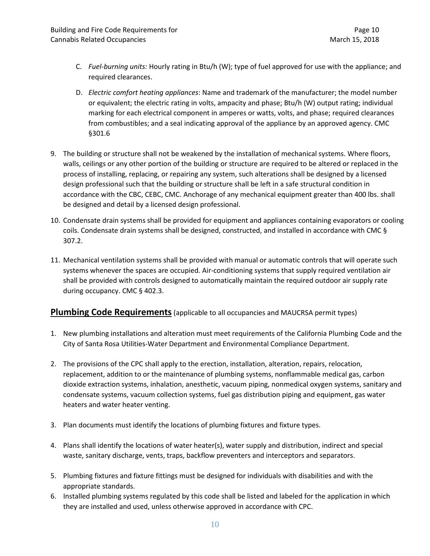- C. *Fuel-burning units:* Hourly rating in Btu/h (W); type of fuel approved for use with the appliance; and required clearances.
- D. *Electric comfort heating appliances*: Name and trademark of the manufacturer; the model number or equivalent; the electric rating in volts, ampacity and phase; Btu/h (W) output rating; individual marking for each electrical component in amperes or watts, volts, and phase; required clearances from combustibles; and a seal indicating approval of the appliance by an approved agency. CMC §301.6
- 9. The building or structure shall not be weakened by the installation of mechanical systems. Where floors, walls, ceilings or any other portion of the building or structure are required to be altered or replaced in the process of installing, replacing, or repairing any system, such alterations shall be designed by a licensed design professional such that the building or structure shall be left in a safe structural condition in accordance with the CBC, CEBC, CMC. Anchorage of any mechanical equipment greater than 400 lbs. shall be designed and detail by a licensed design professional.
- 10. Condensate drain systems shall be provided for equipment and appliances containing evaporators or cooling coils. Condensate drain systems shall be designed, constructed, and installed in accordance with CMC § 307.2.
- 11. Mechanical ventilation systems shall be provided with manual or automatic controls that will operate such systems whenever the spaces are occupied. Air-conditioning systems that supply required ventilation air shall be provided with controls designed to automatically maintain the required outdoor air supply rate during occupancy. CMC § 402.3.

### **Plumbing Code Requirements** (applicable to all occupancies and MAUCRSA permit types)

- 1. New plumbing installations and alteration must meet requirements of the California Plumbing Code and the City of Santa Rosa Utilities-Water Department and Environmental Compliance Department.
- 2. The provisions of the CPC shall apply to the erection, installation, alteration, repairs, relocation, replacement, addition to or the maintenance of plumbing systems, nonflammable medical gas, carbon dioxide extraction systems, inhalation, anesthetic, vacuum piping, nonmedical oxygen systems, sanitary and condensate systems, vacuum collection systems, fuel gas distribution piping and equipment, gas water heaters and water heater venting.
- 3. Plan documents must identify the locations of plumbing fixtures and fixture types.
- 4. Plans shall identify the locations of water heater(s), water supply and distribution, indirect and special waste, sanitary discharge, vents, traps, backflow preventers and interceptors and separators.
- 5. Plumbing fixtures and fixture fittings must be designed for individuals with disabilities and with the appropriate standards.
- 6. Installed plumbing systems regulated by this code shall be listed and labeled for the application in which they are installed and used, unless otherwise approved in accordance with CPC.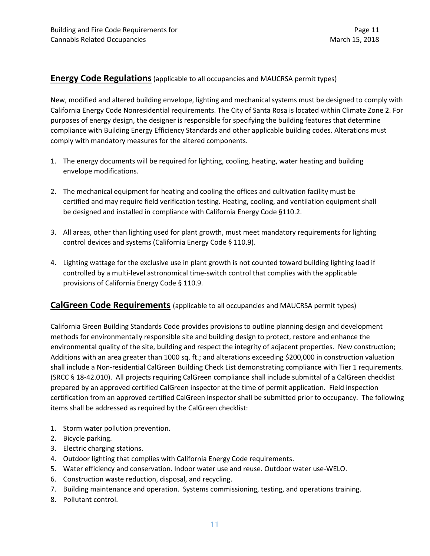#### **Energy Code Regulations**(applicable to all occupancies and MAUCRSA permit types)

New, modified and altered building envelope, lighting and mechanical systems must be designed to comply with California Energy Code Nonresidential requirements. The City of Santa Rosa is located within Climate Zone 2. For purposes of energy design, the designer is responsible for specifying the building features that determine compliance with Building Energy Efficiency Standards and other applicable building codes. Alterations must comply with mandatory measures for the altered components.

- 1. The energy documents will be required for lighting, cooling, heating, water heating and building envelope modifications.
- 2. The mechanical equipment for heating and cooling the offices and cultivation facility must be certified and may require field verification testing. Heating, cooling, and ventilation equipment shall be designed and installed in compliance with California Energy Code §110.2.
- 3. All areas, other than lighting used for plant growth, must meet mandatory requirements for lighting control devices and systems (California Energy Code § 110.9).
- 4. Lighting wattage for the exclusive use in plant growth is not counted toward building lighting load if controlled by a multi-level astronomical time-switch control that complies with the applicable provisions of California Energy Code § 110.9.

### **CalGreen Code Requirements** (applicable to all occupancies and MAUCRSA permit types)

California Green Building Standards Code provides provisions to outline planning design and development methods for environmentally responsible site and building design to protect, restore and enhance the environmental quality of the site, building and respect the integrity of adjacent properties. New construction; Additions with an area greater than 1000 sq. ft.; and alterations exceeding \$200,000 in construction valuation shall include a Non-residential CalGreen Building Check List demonstrating compliance with Tier 1 requirements. (SRCC § 18-42.010). All projects requiring CalGreen compliance shall include submittal of a CalGreen checklist prepared by an approved certified CalGreen inspector at the time of permit application. Field inspection certification from an approved certified CalGreen inspector shall be submitted prior to occupancy. The following items shall be addressed as required by the CalGreen checklist:

- 1. Storm water pollution prevention.
- 2. Bicycle parking.
- 3. Electric charging stations.
- 4. Outdoor lighting that complies with California Energy Code requirements.
- 5. Water efficiency and conservation. Indoor water use and reuse. Outdoor water use-WELO.
- 6. Construction waste reduction, disposal, and recycling.
- 7. Building maintenance and operation. Systems commissioning, testing, and operations training.
- 8. Pollutant control.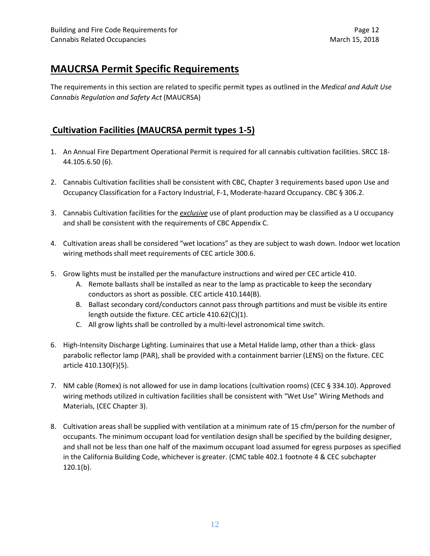# **MAUCRSA Permit Specific Requirements**

The requirements in this section are related to specific permit types as outlined in the *Medical and Adult Use Cannabis Regulation and Safety Act* (MAUCRSA)

## **Cultivation Facilities (MAUCRSA permit types 1-5)**

- 1. An Annual Fire Department Operational Permit is required for all cannabis cultivation facilities. SRCC 18- 44.105.6.50 (6).
- 2. Cannabis Cultivation facilities shall be consistent with CBC, Chapter 3 requirements based upon Use and Occupancy Classification for a Factory Industrial, F-1, Moderate-hazard Occupancy. CBC § 306.2.
- 3. Cannabis Cultivation facilities for the *exclusive* use of plant production may be classified as a U occupancy and shall be consistent with the requirements of CBC Appendix C.
- 4. Cultivation areas shall be considered "wet locations" as they are subject to wash down. Indoor wet location wiring methods shall meet requirements of CEC article 300.6.
- 5. Grow lights must be installed per the manufacture instructions and wired per CEC article 410.
	- A. Remote ballasts shall be installed as near to the lamp as practicable to keep the secondary conductors as short as possible. CEC article 410.144(B).
	- B. Ballast secondary cord/conductors cannot pass through partitions and must be visible its entire length outside the fixture. CEC article 410.62(C)(1).
	- C. All grow lights shall be controlled by a multi-level astronomical time switch.
- 6. High-Intensity Discharge Lighting. Luminaires that use a Metal Halide lamp, other than a thick- glass parabolic reflector lamp (PAR), shall be provided with a containment barrier (LENS) on the fixture. CEC article 410.130(F)(5).
- 7. NM cable (Romex) is not allowed for use in damp locations (cultivation rooms) (CEC § 334.10). Approved wiring methods utilized in cultivation facilities shall be consistent with "Wet Use" Wiring Methods and Materials, (CEC Chapter 3).
- 8. Cultivation areas shall be supplied with ventilation at a minimum rate of 15 cfm/person for the number of occupants. The minimum occupant load for ventilation design shall be specified by the building designer, and shall not be less than one half of the maximum occupant load assumed for egress purposes as specified in the California Building Code, whichever is greater. (CMC table 402.1 footnote 4 & CEC subchapter 120.1(b).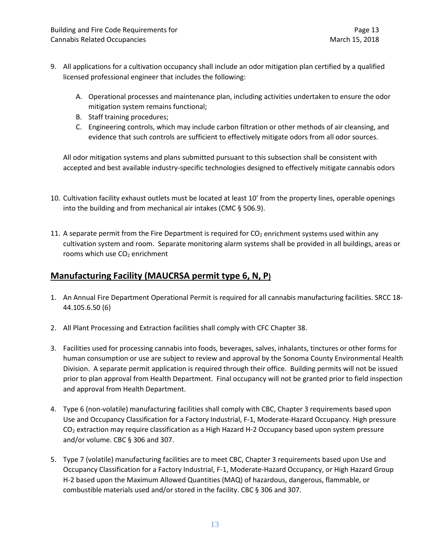- 9. All applications for a cultivation occupancy shall include an odor mitigation plan certified by a qualified licensed professional engineer that includes the following:
	- A. Operational processes and maintenance plan, including activities undertaken to ensure the odor mitigation system remains functional;
	- B. Staff training procedures;
	- C. Engineering controls, which may include carbon filtration or other methods of air cleansing, and evidence that such controls are sufficient to effectively mitigate odors from all odor sources.

All odor mitigation systems and plans submitted pursuant to this subsection shall be consistent with accepted and best available industry-specific technologies designed to effectively mitigate cannabis odors

- 10. Cultivation facility exhaust outlets must be located at least 10' from the property lines, operable openings into the building and from mechanical air intakes (CMC § 506.9).
- 11. A separate permit from the Fire Department is required for  $CO<sub>2</sub>$  enrichment systems used within any cultivation system and room. Separate monitoring alarm systems shall be provided in all buildings, areas or rooms which use CO<sub>2</sub> enrichment

## **Manufacturing Facility (MAUCRSA permit type 6, N, P)**

- 1. An Annual Fire Department Operational Permit is required for all cannabis manufacturing facilities. SRCC 18- 44.105.6.50 (6)
- 2. All Plant Processing and Extraction facilities shall comply with CFC Chapter 38.
- 3. Facilities used for processing cannabis into foods, beverages, salves, inhalants, tinctures or other forms for human consumption or use are subject to review and approval by the Sonoma County Environmental Health Division. A separate permit application is required through their office. Building permits will not be issued prior to plan approval from Health Department. Final occupancy will not be granted prior to field inspection and approval from Health Department.
- 4. Type 6 (non-volatile) manufacturing facilities shall comply with CBC, Chapter 3 requirements based upon Use and Occupancy Classification for a Factory Industrial, F-1, Moderate-Hazard Occupancy. High pressure  $CO<sub>2</sub>$  extraction may require classification as a High Hazard H-2 Occupancy based upon system pressure and/or volume. CBC § 306 and 307.
- 5. Type 7 (volatile) manufacturing facilities are to meet CBC, Chapter 3 requirements based upon Use and Occupancy Classification for a Factory Industrial, F-1, Moderate-Hazard Occupancy, or High Hazard Group H-2 based upon the Maximum Allowed Quantities (MAQ) of hazardous, dangerous, flammable, or combustible materials used and/or stored in the facility. CBC § 306 and 307.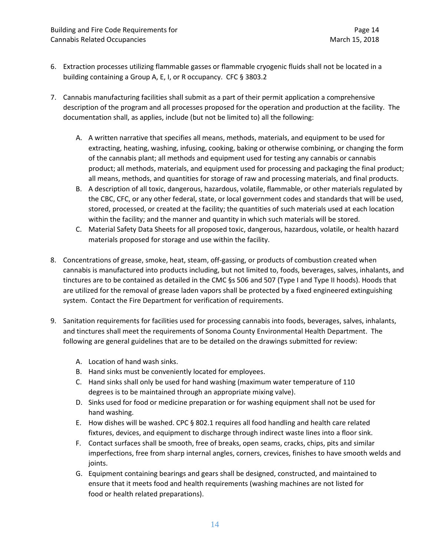- 6. Extraction processes utilizing flammable gasses or flammable cryogenic fluids shall not be located in a building containing a Group A, E, I, or R occupancy. CFC § 3803.2
- 7. Cannabis manufacturing facilities shall submit as a part of their permit application a comprehensive description of the program and all processes proposed for the operation and production at the facility. The documentation shall, as applies, include (but not be limited to) all the following:
	- A. A written narrative that specifies all means, methods, materials, and equipment to be used for extracting, heating, washing, infusing, cooking, baking or otherwise combining, or changing the form of the cannabis plant; all methods and equipment used for testing any cannabis or cannabis product; all methods, materials, and equipment used for processing and packaging the final product; all means, methods, and quantities for storage of raw and processing materials, and final products.
	- B. A description of all toxic, dangerous, hazardous, volatile, flammable, or other materials regulated by the CBC, CFC, or any other federal, state, or local government codes and standards that will be used, stored, processed, or created at the facility; the quantities of such materials used at each location within the facility; and the manner and quantity in which such materials will be stored.
	- C. Material Safety Data Sheets for all proposed toxic, dangerous, hazardous, volatile, or health hazard materials proposed for storage and use within the facility.
- 8. Concentrations of grease, smoke, heat, steam, off-gassing, or products of combustion created when cannabis is manufactured into products including, but not limited to, foods, beverages, salves, inhalants, and tinctures are to be contained as detailed in the CMC §s 506 and 507 (Type I and Type II hoods). Hoods that are utilized for the removal of grease laden vapors shall be protected by a fixed engineered extinguishing system. Contact the Fire Department for verification of requirements.
- 9. Sanitation requirements for facilities used for processing cannabis into foods, beverages, salves, inhalants, and tinctures shall meet the requirements of Sonoma County Environmental Health Department. The following are general guidelines that are to be detailed on the drawings submitted for review:
	- A. Location of hand wash sinks.
	- B. Hand sinks must be conveniently located for employees.
	- C. Hand sinks shall only be used for hand washing (maximum water temperature of 110 degrees is to be maintained through an appropriate mixing valve).
	- D. Sinks used for food or medicine preparation or for washing equipment shall not be used for hand washing.
	- E. How dishes will be washed. CPC § 802.1 requires all food handling and health care related fixtures, devices, and equipment to discharge through indirect waste lines into a floor sink.
	- F. Contact surfaces shall be smooth, free of breaks, open seams, cracks, chips, pits and similar imperfections, free from sharp internal angles, corners, crevices, finishes to have smooth welds and joints.
	- G. Equipment containing bearings and gears shall be designed, constructed, and maintained to ensure that it meets food and health requirements (washing machines are not listed for food or health related preparations).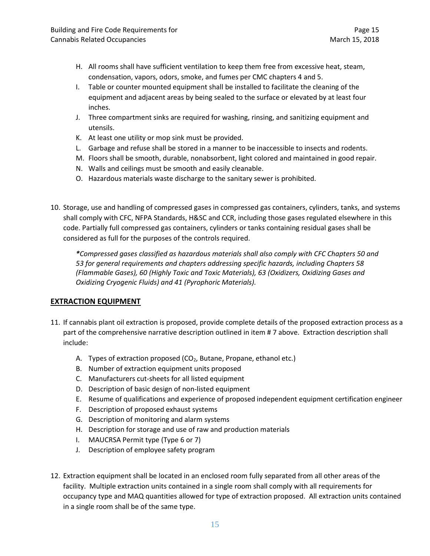- H. All rooms shall have sufficient ventilation to keep them free from excessive heat, steam, condensation, vapors, odors, smoke, and fumes per CMC chapters 4 and 5.
- I. Table or counter mounted equipment shall be installed to facilitate the cleaning of the equipment and adjacent areas by being sealed to the surface or elevated by at least four inches.
- J. Three compartment sinks are required for washing, rinsing, and sanitizing equipment and utensils.
- K. At least one utility or mop sink must be provided.
- L. Garbage and refuse shall be stored in a manner to be inaccessible to insects and rodents.
- M. Floors shall be smooth, durable, nonabsorbent, light colored and maintained in good repair.
- N. Walls and ceilings must be smooth and easily cleanable.
- O. Hazardous materials waste discharge to the sanitary sewer is prohibited.
- 10. Storage, use and handling of compressed gases in compressed gas containers, cylinders, tanks, and systems shall comply with CFC, NFPA Standards, H&SC and CCR, including those gases regulated elsewhere in this code. Partially full compressed gas containers, cylinders or tanks containing residual gases shall be considered as full for the purposes of the controls required.

*\*Compressed gases classified as hazardous materials shall also comply with CFC Chapters 50 and 53 for general requirements and chapters addressing specific hazards, including Chapters 58 (Flammable Gases), 60 (Highly Toxic and Toxic Materials), 63 (Oxidizers, Oxidizing Gases and Oxidizing Cryogenic Fluids) and 41 (Pyrophoric Materials).*

#### **EXTRACTION EQUIPMENT**

- 11. If cannabis plant oil extraction is proposed, provide complete details of the proposed extraction process as a part of the comprehensive narrative description outlined in item # 7 above. Extraction description shall include:
	- A. Types of extraction proposed  $(CO<sub>2</sub>)$ , Butane, Propane, ethanol etc.)
	- B. Number of extraction equipment units proposed
	- C. Manufacturers cut-sheets for all listed equipment
	- D. Description of basic design of non-listed equipment
	- E. Resume of qualifications and experience of proposed independent equipment certification engineer
	- F. Description of proposed exhaust systems
	- G. Description of monitoring and alarm systems
	- H. Description for storage and use of raw and production materials
	- I. MAUCRSA Permit type (Type 6 or 7)
	- J. Description of employee safety program
- 12. Extraction equipment shall be located in an enclosed room fully separated from all other areas of the facility. Multiple extraction units contained in a single room shall comply with all requirements for occupancy type and MAQ quantities allowed for type of extraction proposed. All extraction units contained in a single room shall be of the same type.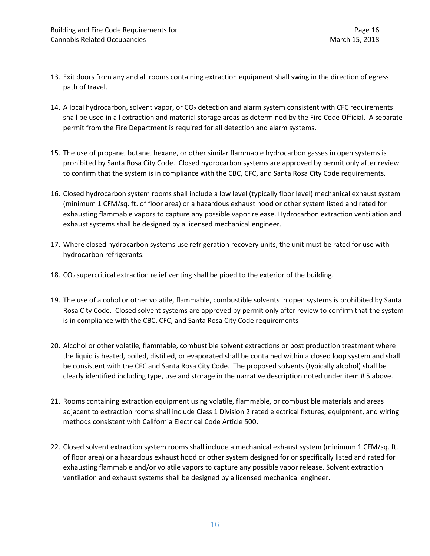- 13. Exit doors from any and all rooms containing extraction equipment shall swing in the direction of egress path of travel.
- 14. A local hydrocarbon, solvent vapor, or CO<sub>2</sub> detection and alarm system consistent with CFC requirements shall be used in all extraction and material storage areas as determined by the Fire Code Official. A separate permit from the Fire Department is required for all detection and alarm systems.
- 15. The use of propane, butane, hexane, or other similar flammable hydrocarbon gasses in open systems is prohibited by Santa Rosa City Code. Closed hydrocarbon systems are approved by permit only after review to confirm that the system is in compliance with the CBC, CFC, and Santa Rosa City Code requirements.
- 16. Closed hydrocarbon system rooms shall include a low level (typically floor level) mechanical exhaust system (minimum 1 CFM/sq. ft. of floor area) or a hazardous exhaust hood or other system listed and rated for exhausting flammable vapors to capture any possible vapor release. Hydrocarbon extraction ventilation and exhaust systems shall be designed by a licensed mechanical engineer.
- 17. Where closed hydrocarbon systems use refrigeration recovery units, the unit must be rated for use with hydrocarbon refrigerants.
- 18.  $CO<sub>2</sub>$  supercritical extraction relief venting shall be piped to the exterior of the building.
- 19. The use of alcohol or other volatile, flammable, combustible solvents in open systems is prohibited by Santa Rosa City Code. Closed solvent systems are approved by permit only after review to confirm that the system is in compliance with the CBC, CFC, and Santa Rosa City Code requirements
- 20. Alcohol or other volatile, flammable, combustible solvent extractions or post production treatment where the liquid is heated, boiled, distilled, or evaporated shall be contained within a closed loop system and shall be consistent with the CFC and Santa Rosa City Code. The proposed solvents (typically alcohol) shall be clearly identified including type, use and storage in the narrative description noted under item # 5 above.
- 21. Rooms containing extraction equipment using volatile, flammable, or combustible materials and areas adjacent to extraction rooms shall include Class 1 Division 2 rated electrical fixtures, equipment, and wiring methods consistent with California Electrical Code Article 500.
- 22. Closed solvent extraction system rooms shall include a mechanical exhaust system (minimum 1 CFM/sq. ft. of floor area) or a hazardous exhaust hood or other system designed for or specifically listed and rated for exhausting flammable and/or volatile vapors to capture any possible vapor release. Solvent extraction ventilation and exhaust systems shall be designed by a licensed mechanical engineer.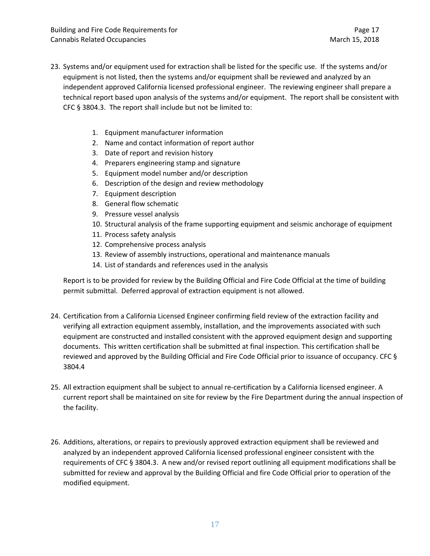- 23. Systems and/or equipment used for extraction shall be listed for the specific use. If the systems and/or equipment is not listed, then the systems and/or equipment shall be reviewed and analyzed by an independent approved California licensed professional engineer. The reviewing engineer shall prepare a technical report based upon analysis of the systems and/or equipment. The report shall be consistent with CFC § 3804.3. The report shall include but not be limited to:
	- 1. Equipment manufacturer information
	- 2. Name and contact information of report author
	- 3. Date of report and revision history
	- 4. Preparers engineering stamp and signature
	- 5. Equipment model number and/or description
	- 6. Description of the design and review methodology
	- 7. Equipment description
	- 8. General flow schematic
	- 9. Pressure vessel analysis
	- 10. Structural analysis of the frame supporting equipment and seismic anchorage of equipment
	- 11. Process safety analysis
	- 12. Comprehensive process analysis
	- 13. Review of assembly instructions, operational and maintenance manuals
	- 14. List of standards and references used in the analysis

Report is to be provided for review by the Building Official and Fire Code Official at the time of building permit submittal. Deferred approval of extraction equipment is not allowed.

- 24. Certification from a California Licensed Engineer confirming field review of the extraction facility and verifying all extraction equipment assembly, installation, and the improvements associated with such equipment are constructed and installed consistent with the approved equipment design and supporting documents. This written certification shall be submitted at final inspection. This certification shall be reviewed and approved by the Building Official and Fire Code Official prior to issuance of occupancy. CFC § 3804.4
- 25. All extraction equipment shall be subject to annual re-certification by a California licensed engineer. A current report shall be maintained on site for review by the Fire Department during the annual inspection of the facility.
- 26. Additions, alterations, or repairs to previously approved extraction equipment shall be reviewed and analyzed by an independent approved California licensed professional engineer consistent with the requirements of CFC § 3804.3. A new and/or revised report outlining all equipment modifications shall be submitted for review and approval by the Building Official and fire Code Official prior to operation of the modified equipment.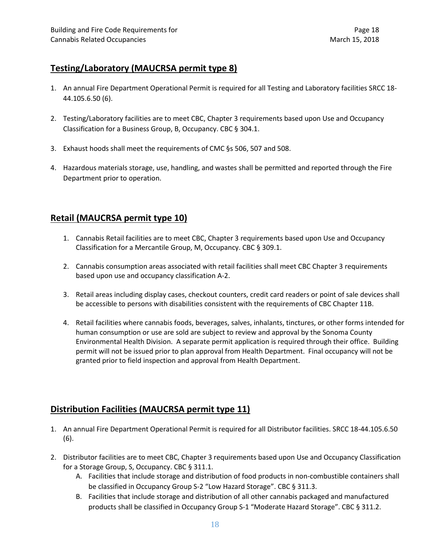## **Testing/Laboratory (MAUCRSA permit type 8)**

- 1. An annual Fire Department Operational Permit is required for all Testing and Laboratory facilities SRCC 18- 44.105.6.50 (6).
- 2. Testing/Laboratory facilities are to meet CBC, Chapter 3 requirements based upon Use and Occupancy Classification for a Business Group, B, Occupancy. CBC § 304.1.
- 3. Exhaust hoods shall meet the requirements of CMC §s 506, 507 and 508.
- 4. Hazardous materials storage, use, handling, and wastes shall be permitted and reported through the Fire Department prior to operation.

## **Retail (MAUCRSA permit type 10)**

- 1. Cannabis Retail facilities are to meet CBC, Chapter 3 requirements based upon Use and Occupancy Classification for a Mercantile Group, M, Occupancy. CBC § 309.1.
- 2. Cannabis consumption areas associated with retail facilities shall meet CBC Chapter 3 requirements based upon use and occupancy classification A-2.
- 3. Retail areas including display cases, checkout counters, credit card readers or point of sale devices shall be accessible to persons with disabilities consistent with the requirements of CBC Chapter 11B.
- 4. Retail facilities where cannabis foods, beverages, salves, inhalants, tinctures, or other forms intended for human consumption or use are sold are subject to review and approval by the Sonoma County Environmental Health Division. A separate permit application is required through their office. Building permit will not be issued prior to plan approval from Health Department. Final occupancy will not be granted prior to field inspection and approval from Health Department.

## **Distribution Facilities (MAUCRSA permit type 11)**

- 1. An annual Fire Department Operational Permit is required for all Distributor facilities. SRCC 18-44.105.6.50 (6).
- 2. Distributor facilities are to meet CBC, Chapter 3 requirements based upon Use and Occupancy Classification for a Storage Group, S, Occupancy. CBC § 311.1.
	- A. Facilities that include storage and distribution of food products in non-combustible containers shall be classified in Occupancy Group S-2 "Low Hazard Storage". CBC § 311.3.
	- B. Facilities that include storage and distribution of all other cannabis packaged and manufactured products shall be classified in Occupancy Group S-1 "Moderate Hazard Storage". CBC § 311.2.